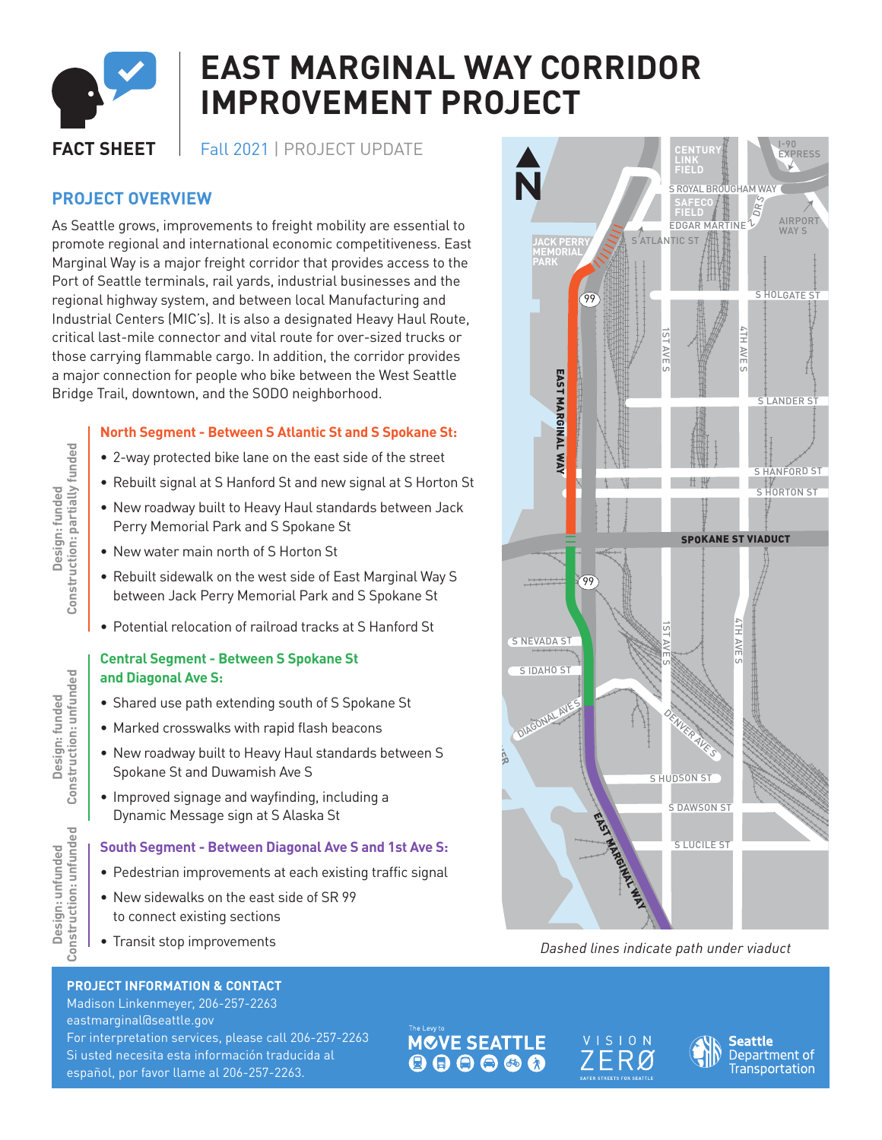

# **EAST MARGINAL WAY CORRIDOR IMPROVEMENT PROJECT**

**FACT SHEET** Fall 2021 | PROJECT UPDATE

# **PROJECT OVERVIEW**

As Seattle grows, improvements to freight mobility are essential to promote regional and international economic competitiveness. East Marginal Way is a major freight corridor that provides access to the Port of Seattle terminals, rail yards, industrial businesses and the regional highway system, and between local Manufacturing and Industrial Centers (MIC's). It is also a designated Heavy Haul Route, critical last-mile connector and vital route for over-sized trucks or those carrying flammable cargo. In addition, the corridor provides a major connection for people who bike between the West Seattle Bridge Trail, downtown, and the SODO neighborhood.

### **North Segment - Between S Atlantic St and S Spokane St:**

- 2-way protected bike lane on the east side of the street
- Rebuilt signal at S Hanford St and new signal at S Horton St
- New roadway built to Heavy Haul standards between Jack Perry Memorial Park and S Spokane St
- New water main north of S Horton St
- Rebuilt sidewalk on the west side of East Marginal Way S between Jack Perry Memorial Park and S Spokane St
- Potential relocation of railroad tracks at S Hanford St

#### **Central Segment - Between S Spokane St and Diagonal Ave S:**

- Shared use path extending south of S Spokane St
- Marked crosswalks with rapid flash beacons
- New roadway built to Heavy Haul standards between S Spokane St and Duwamish Ave S
- Improved signage and wayfinding, including a Dynamic Message sign at S Alaska St

#### **South Segment - Between Diagonal Ave S and 1st Ave S:**

- Pedestrian improvements at each existing traffic signal
- New sidewalks on the east side of SR 99 to connect existing sections
- Transit stop improvements

#### I-90 EXPRESS **CENTURY LINK FIELD** S ROYAL BROUGHAM WAY<br>
SAFECO<br>
FIELD<br>
FIELD<br>
RITELS<br>
NTIC ST<br>
NTIC ST<br>
SPOKANE ST VIADU<br>
SPOKANE ST VIADU<br>
SPOKANE ST VIADU<br>
SPOKANE ST VIADU<br>
SPOKANE ST VIADU<br>
SPOKANE ST VIADU<br>
SPOKANE ST VIADU<br>
SPOKANE ST VIADU<br>
SPOKANE DRS **SAFECO** EDGAR MARTINE Z **FIELD** AIRPORT WAY **S** SATLANTIC ST **JACK PERRY MEMORIAL PARK** S HOLGATE S 99 4TH AVE EAST MARGINAL WAY U) EAST MARGINAL WAY S LANDER ST S HANFORD ST S HORTON ST SPOKANE ST VIADUCT 99 4TH AVE n S NEVADA ST  $\overline{\phantom{0}}$ AVm m S IDAHO ST **DUWAMISH RIVER** DIAGONAL AVE S DENVER AVE S S HUDSON ST S DAWSON ST S:<br>al EAST MARGINAL WAYS S LUCILE ST

 <sup>M</sup>ICHIGA<sup>N</sup> <sup>S</sup><sup>T</sup> 1*Dashed lines indicate path under viaduct* T

**PROJECT INFORMATION & CONTACT**

Madison Linkenmeyer, 206-257-2263 eastmarginal@seattle.gov For interpretation services, please call 206-257-2263 Si usted necesita esta información traducida al español, por favor llame al 206-257-2263.

**MOVE SEATTLE** 





Design: funded<br>Construction: partially funded **Construction: partially funded Design: funded**

Design: funded<br>Construction: unfunded **Construction: unfunded Design: funded**

Design: unfunded<br>Construction: unfunded **Construction: unfundedDesign: unfunded**